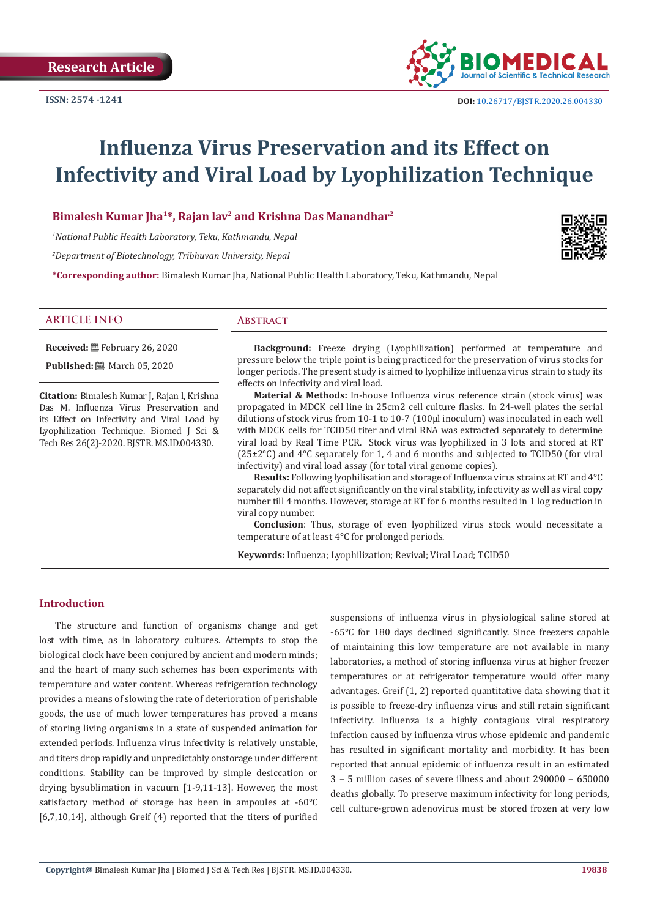

# **Influenza Virus Preservation and its Effect on Infectivity and Viral Load by Lyophilization Technique**

**Bimalesh Kumar Jha<sup>1</sup>\*, Rajan lav<sup>2</sup> and Krishna Das Manandhar<sup>2</sup>**

*1 National Public Health Laboratory, Teku, Kathmandu, Nepal* 

*2 Department of Biotechnology, Tribhuvan University, Nepal* 

**\*Corresponding author:** Bimalesh Kumar Jha, National Public Health Laboratory, Teku, Kathmandu, Nepal



#### **ARTICLE INFO Abstract**

**Received:** February 26, 2020

**Published:** ■ March 05, 2020

**Citation:** Bimalesh Kumar J, Rajan l, Krishna Das M. Influenza Virus Preservation and its Effect on Infectivity and Viral Load by Lyophilization Technique. Biomed J Sci & Tech Res 26(2)-2020. BJSTR. MS.ID.004330.

**Background:** Freeze drying (Lyophilization) performed at temperature and pressure below the triple point is being practiced for the preservation of virus stocks for longer periods. The present study is aimed to lyophilize influenza virus strain to study its effects on infectivity and viral load.

**Material & Methods:** In-house Influenza virus reference strain (stock virus) was propagated in MDCK cell line in 25cm2 cell culture flasks. In 24-well plates the serial dilutions of stock virus from 10-1 to 10-7 (100µl inoculum) was inoculated in each well with MDCK cells for TCID50 titer and viral RNA was extracted separately to determine viral load by Real Time PCR. Stock virus was lyophilized in 3 lots and stored at RT  $(25\pm2\degree C)$  and  $4\degree C$  separately for 1, 4 and 6 months and subjected to TCID50 (for viral infectivity) and viral load assay (for total viral genome copies).

**Results:** Following lyophilisation and storage of Influenza virus strains at RT and 4°C separately did not affect significantly on the viral stability, infectivity as well as viral copy number till 4 months. However, storage at RT for 6 months resulted in 1 log reduction in viral copy number.

**Conclusion**: Thus, storage of even lyophilized virus stock would necessitate a temperature of at least 4°C for prolonged periods.

**Keywords:** Influenza; Lyophilization; Revival; Viral Load; TCID50

### **Introduction**

The structure and function of organisms change and get lost with time, as in laboratory cultures. Attempts to stop the biological clock have been conjured by ancient and modern minds; and the heart of many such schemes has been experiments with temperature and water content. Whereas refrigeration technology provides a means of slowing the rate of deterioration of perishable goods, the use of much lower temperatures has proved a means of storing living organisms in a state of suspended animation for extended periods. Influenza virus infectivity is relatively unstable, and titers drop rapidly and unpredictably onstorage under different conditions. Stability can be improved by simple desiccation or drying bysublimation in vacuum [1-9,11-13]. However, the most satisfactory method of storage has been in ampoules at -60℃ [6,7,10,14], although Greif (4) reported that the titers of purified

suspensions of influenza virus in physiological saline stored at -65℃ for 180 days declined significantly. Since freezers capable of maintaining this low temperature are not available in many laboratories, a method of storing influenza virus at higher freezer temperatures or at refrigerator temperature would offer many advantages. Greif (1, 2) reported quantitative data showing that it is possible to freeze-dry influenza virus and still retain significant infectivity. Influenza is a highly contagious viral respiratory infection caused by influenza virus whose epidemic and pandemic has resulted in significant mortality and morbidity. It has been reported that annual epidemic of influenza result in an estimated 3 – 5 million cases of severe illness and about 290000 – 650000 deaths globally. To preserve maximum infectivity for long periods, cell culture-grown adenovirus must be stored frozen at very low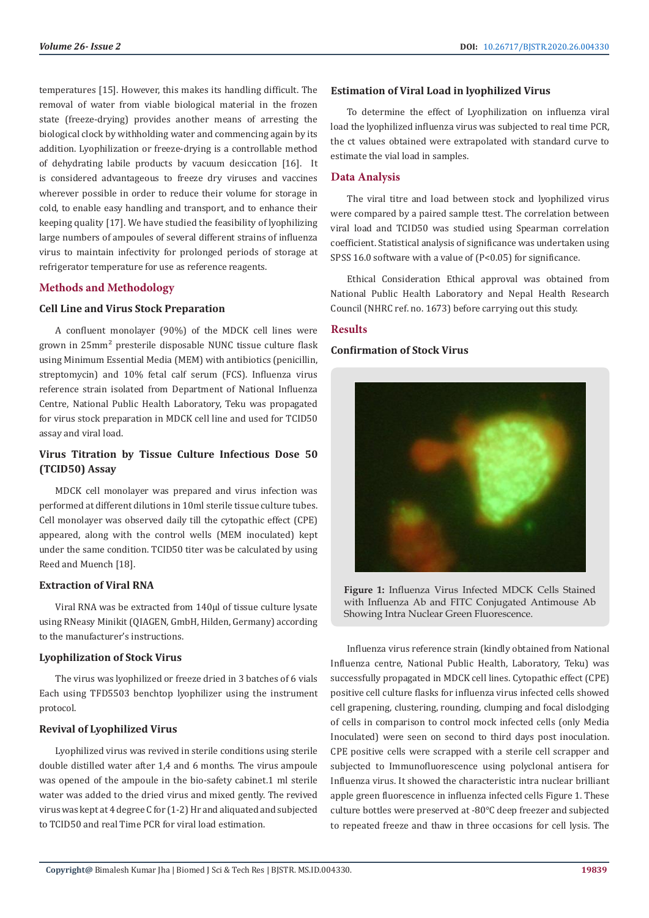temperatures [15]. However, this makes its handling difficult. The removal of water from viable biological material in the frozen state (freeze-drying) provides another means of arresting the biological clock by withholding water and commencing again by its addition. Lyophilization or freeze-drying is a controllable method of dehydrating labile products by vacuum desiccation [16]. It is considered advantageous to freeze dry viruses and vaccines wherever possible in order to reduce their volume for storage in cold, to enable easy handling and transport, and to enhance their keeping quality [17]. We have studied the feasibility of lyophilizing large numbers of ampoules of several different strains of influenza virus to maintain infectivity for prolonged periods of storage at refrigerator temperature for use as reference reagents.

#### **Methods and Methodology**

#### **Cell Line and Virus Stock Preparation**

A confluent monolayer (90%) of the MDCK cell lines were grown in 25mm² presterile disposable NUNC tissue culture flask using Minimum Essential Media (MEM) with antibiotics (penicillin, streptomycin) and 10% fetal calf serum (FCS). Influenza virus reference strain isolated from Department of National Influenza Centre, National Public Health Laboratory, Teku was propagated for virus stock preparation in MDCK cell line and used for TCID50 assay and viral load.

# **Virus Titration by Tissue Culture Infectious Dose 50 (TCID50) Assay**

MDCK cell monolayer was prepared and virus infection was performed at different dilutions in 10ml sterile tissue culture tubes. Cell monolayer was observed daily till the cytopathic effect (CPE) appeared, along with the control wells (MEM inoculated) kept under the same condition. TCID50 titer was be calculated by using Reed and Muench [18].

#### **Extraction of Viral RNA**

Viral RNA was be extracted from 140μl of tissue culture lysate using RNeasy Minikit (QIAGEN, GmbH, Hilden, Germany) according to the manufacturer's instructions.

#### **Lyophilization of Stock Virus**

The virus was lyophilized or freeze dried in 3 batches of 6 vials Each using TFD5503 benchtop lyophilizer using the instrument protocol.

#### **Revival of Lyophilized Virus**

Lyophilized virus was revived in sterile conditions using sterile double distilled water after 1,4 and 6 months. The virus ampoule was opened of the ampoule in the bio-safety cabinet.1 ml sterile water was added to the dried virus and mixed gently. The revived virus was kept at 4 degree C for (1-2) Hr and aliquated and subjected to TCID50 and real Time PCR for viral load estimation.

#### **Estimation of Viral Load in lyophilized Virus**

To determine the effect of Lyophilization on influenza viral load the lyophilized influenza virus was subjected to real time PCR, the ct values obtained were extrapolated with standard curve to estimate the vial load in samples.

#### **Data Analysis**

The viral titre and load between stock and lyophilized virus were compared by a paired sample ttest. The correlation between viral load and TCID50 was studied using Spearman correlation coefficient. Statistical analysis of significance was undertaken using SPSS 16.0 software with a value of  $(P<0.05)$  for significance.

Ethical Consideration Ethical approval was obtained from National Public Health Laboratory and Nepal Health Research Council (NHRC ref. no. 1673) before carrying out this study.

#### **Results**

#### **Confirmation of Stock Virus**



**Figure 1:** Influenza Virus Infected MDCK Cells Stained with Influenza Ab and FITC Conjugated Antimouse Ab Showing Intra Nuclear Green Fluorescence.

Influenza virus reference strain (kindly obtained from National Influenza centre, National Public Health, Laboratory, Teku) was successfully propagated in MDCK cell lines. Cytopathic effect (CPE) positive cell culture flasks for influenza virus infected cells showed cell grapening, clustering, rounding, clumping and focal dislodging of cells in comparison to control mock infected cells (only Media Inoculated) were seen on second to third days post inoculation. CPE positive cells were scrapped with a sterile cell scrapper and subjected to Immunofluorescence using polyclonal antisera for Influenza virus. It showed the characteristic intra nuclear brilliant apple green fluorescence in influenza infected cells Figure 1. These culture bottles were preserved at -80℃ deep freezer and subjected to repeated freeze and thaw in three occasions for cell lysis. The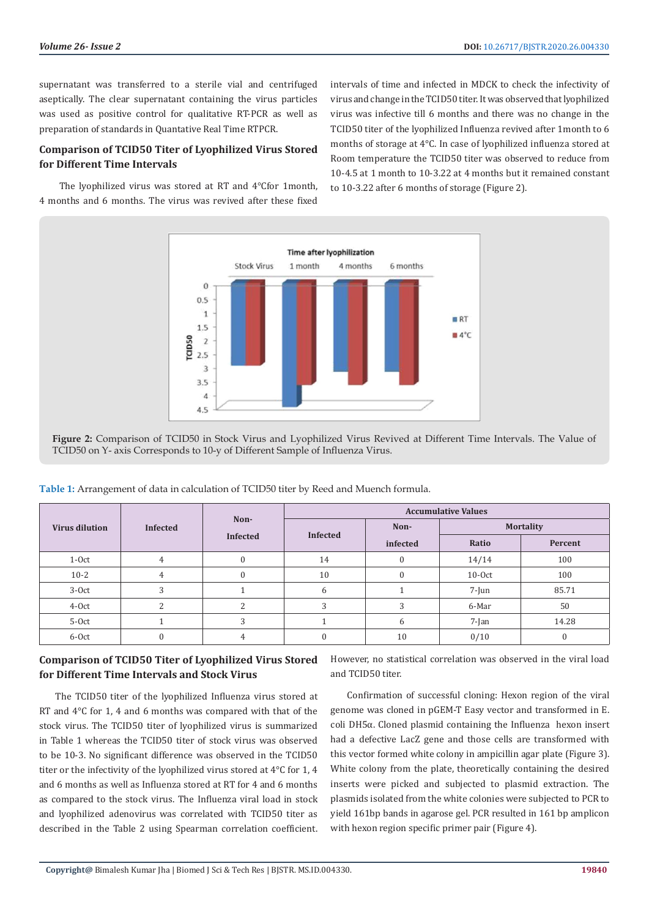supernatant was transferred to a sterile vial and centrifuged aseptically. The clear supernatant containing the virus particles was used as positive control for qualitative RT-PCR as well as preparation of standards in Quantative Real Time RTPCR.

## **Comparison of TCID50 Titer of Lyophilized Virus Stored for Different Time Intervals**

 The lyophilized virus was stored at RT and 4℃for 1month, 4 months and 6 months. The virus was revived after these fixed intervals of time and infected in MDCK to check the infectivity of virus and change in the TCID50 titer. It was observed that lyophilized virus was infective till 6 months and there was no change in the TCID50 titer of the lyophilized Influenza revived after 1month to 6 months of storage at 4°C. In case of lyophilized influenza stored at Room temperature the TCID50 titer was observed to reduce from 10-4.5 at 1 month to 10-3.22 at 4 months but it remained constant to 10-3.22 after 6 months of storage (Figure 2).



**Figure 2:** Comparison of TCID50 in Stock Virus and Lyophilized Virus Revived at Different Time Intervals. The Value of TCID50 on Y- axis Corresponds to 10-y of Different Sample of Influenza Virus.

| <b>Virus dilution</b> | <b>Infected</b> | Non-<br>Infected | <b>Accumulative Values</b> |                          |          |         |  |
|-----------------------|-----------------|------------------|----------------------------|--------------------------|----------|---------|--|
|                       |                 |                  | <b>Infected</b>            | <b>Mortality</b><br>Non- |          |         |  |
|                       |                 |                  |                            | infected                 | Ratio    | Percent |  |
| $1-0ct$               | 4               | $\Omega$         | 14                         | $\mathbf{0}$             | 14/14    | 100     |  |
| $10 - 2$              |                 |                  | 10                         | $\Omega$                 | $10-0ct$ | 100     |  |
| $3-0ct$               |                 |                  | 6                          |                          | $7$ -Jun | 85.71   |  |
| 4-Oct                 |                 | C.               | 3                          | 3                        | 6-Mar    | 50      |  |
| 5-Oct                 |                 | C                |                            | 6                        | $7$ -Jan | 14.28   |  |
| 6-Oct                 |                 | 4                | $\Omega$                   | 10                       | 0/10     | O       |  |

**Table 1:** Arrangement of data in calculation of TCID50 titer by Reed and Muench formula.

### **Comparison of TCID50 Titer of Lyophilized Virus Stored for Different Time Intervals and Stock Virus**

The TCID50 titer of the lyophilized Influenza virus stored at RT and  $4^{\circ}$ C for 1, 4 and 6 months was compared with that of the stock virus. The TCID50 titer of lyophilized virus is summarized in Table 1 whereas the TCID50 titer of stock virus was observed to be 10-3. No significant difference was observed in the TCID50 titer or the infectivity of the lyophilized virus stored at 4°C for 1, 4 and 6 months as well as Influenza stored at RT for 4 and 6 months as compared to the stock virus. The Influenza viral load in stock and lyophilized adenovirus was correlated with TCID50 titer as described in the Table 2 using Spearman correlation coefficient.

However, no statistical correlation was observed in the viral load and TCID50 titer.

Confirmation of successful cloning: Hexon region of the viral genome was cloned in pGEM-T Easy vector and transformed in E. coli DH5α. Cloned plasmid containing the Influenza hexon insert had a defective LacZ gene and those cells are transformed with this vector formed white colony in ampicillin agar plate (Figure 3). White colony from the plate, theoretically containing the desired inserts were picked and subjected to plasmid extraction. The plasmids isolated from the white colonies were subjected to PCR to yield 161bp bands in agarose gel. PCR resulted in 161 bp amplicon with hexon region specific primer pair (Figure 4).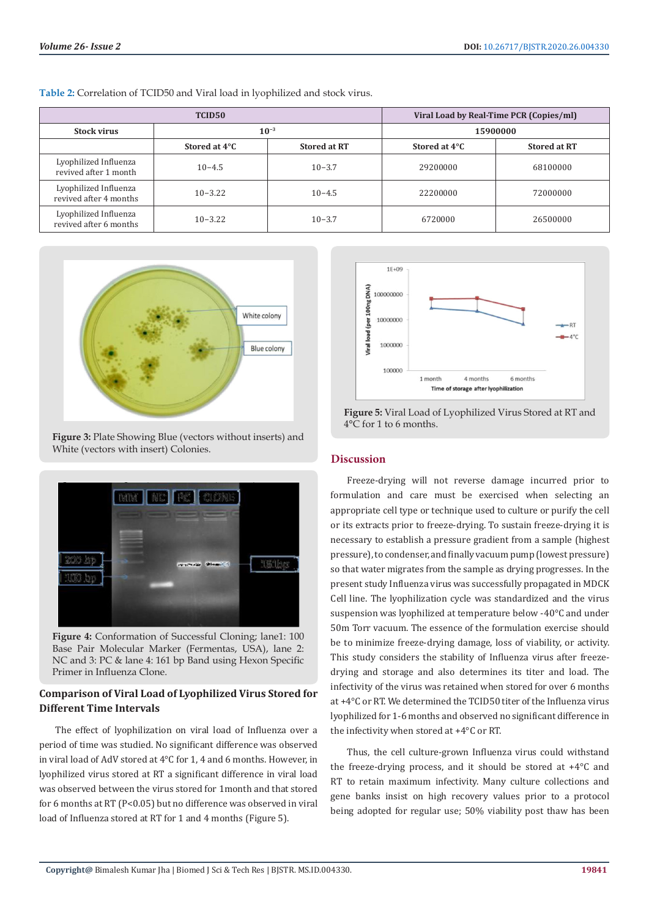|                                                 | TCID <sub>50</sub> | Viral Load by Real-Time PCR (Copies/ml) |               |                     |  |
|-------------------------------------------------|--------------------|-----------------------------------------|---------------|---------------------|--|
| <b>Stock virus</b>                              | $10^{-3}$          |                                         | 15900000      |                     |  |
|                                                 | Stored at 4°C      | <b>Stored at RT</b>                     | Stored at 4°C | <b>Stored at RT</b> |  |
| Lyophilized Influenza<br>revived after 1 month  | $10 - 4.5$         | $10 - 3.7$                              | 29200000      | 68100000            |  |
| Lyophilized Influenza<br>revived after 4 months | $10 - 3.22$        | $10 - 4.5$                              | 22200000      | 72000000            |  |
| Lyophilized Influenza<br>revived after 6 months | $10 - 3.22$        | $10 - 3.7$                              | 6720000       | 26500000            |  |

**Table 2:** Correlation of TCID50 and Viral load in lyophilized and stock virus.



**Figure 3:** Plate Showing Blue (vectors without inserts) and White (vectors with insert) Colonies.



**Figure 4:** Conformation of Successful Cloning; lane1: 100 Base Pair Molecular Marker (Fermentas, USA), lane 2: NC and 3: PC & lane 4: 161 bp Band using Hexon Specific Primer in Influenza Clone.

# **Comparison of Viral Load of Lyophilized Virus Stored for Different Time Intervals**

The effect of lyophilization on viral load of Influenza over a period of time was studied. No significant difference was observed in viral load of AdV stored at 4°C for 1, 4 and 6 months. However, in lyophilized virus stored at RT a significant difference in viral load was observed between the virus stored for 1month and that stored for 6 months at RT (P<0.05) but no difference was observed in viral load of Influenza stored at RT for 1 and 4 months (Figure 5).



**Figure 5:** Viral Load of Lyophilized Virus Stored at RT and 4°C for 1 to 6 months.

# **Discussion**

Freeze-drying will not reverse damage incurred prior to formulation and care must be exercised when selecting an appropriate cell type or technique used to culture or purify the cell or its extracts prior to freeze-drying. To sustain freeze-drying it is necessary to establish a pressure gradient from a sample (highest pressure), to condenser, and finally vacuum pump (lowest pressure) so that water migrates from the sample as drying progresses. In the present study Influenza virus was successfully propagated in MDCK Cell line. The lyophilization cycle was standardized and the virus suspension was lyophilized at temperature below -40°C and under 50m Torr vacuum. The essence of the formulation exercise should be to minimize freeze-drying damage, loss of viability, or activity. This study considers the stability of Influenza virus after freezedrying and storage and also determines its titer and load. The infectivity of the virus was retained when stored for over 6 months at +4°C or RT. We determined the TCID50 titer of the Influenza virus lyophilized for 1-6 months and observed no significant difference in the infectivity when stored at +4°C or RT.

Thus, the cell culture-grown Influenza virus could withstand the freeze-drying process, and it should be stored at +4°C and RT to retain maximum infectivity. Many culture collections and gene banks insist on high recovery values prior to a protocol being adopted for regular use; 50% viability post thaw has been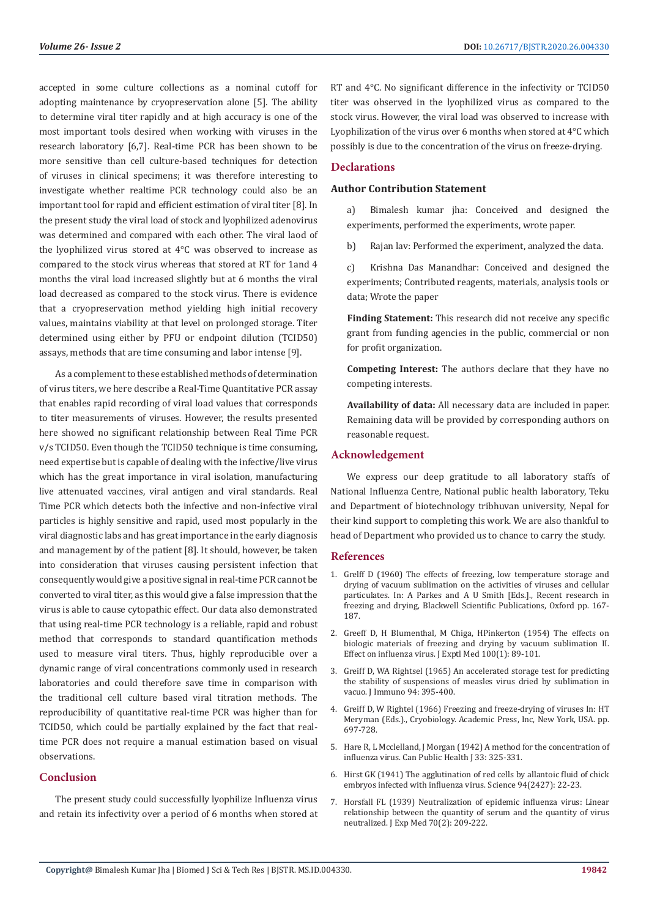accepted in some culture collections as a nominal cutoff for adopting maintenance by cryopreservation alone [5]. The ability to determine viral titer rapidly and at high accuracy is one of the most important tools desired when working with viruses in the research laboratory [6,7]. Real-time PCR has been shown to be more sensitive than cell culture-based techniques for detection of viruses in clinical specimens; it was therefore interesting to investigate whether realtime PCR technology could also be an important tool for rapid and efficient estimation of viral titer [8]. In the present study the viral load of stock and lyophilized adenovirus was determined and compared with each other. The viral laod of the lyophilized virus stored at 4°C was observed to increase as compared to the stock virus whereas that stored at RT for 1and 4 months the viral load increased slightly but at 6 months the viral load decreased as compared to the stock virus. There is evidence that a cryopreservation method yielding high initial recovery values, maintains viability at that level on prolonged storage. Titer determined using either by PFU or endpoint dilution (TCID50) assays, methods that are time consuming and labor intense [9].

As a complement to these established methods of determination of virus titers, we here describe a Real-Time Quantitative PCR assay that enables rapid recording of viral load values that corresponds to titer measurements of viruses. However, the results presented here showed no significant relationship between Real Time PCR v/s TCID50. Even though the TCID50 technique is time consuming, need expertise but is capable of dealing with the infective/live virus which has the great importance in viral isolation, manufacturing live attenuated vaccines, viral antigen and viral standards. Real Time PCR which detects both the infective and non-infective viral particles is highly sensitive and rapid, used most popularly in the viral diagnostic labs and has great importance in the early diagnosis and management by of the patient [8]. It should, however, be taken into consideration that viruses causing persistent infection that consequently would give a positive signal in real-time PCR cannot be converted to viral titer, as this would give a false impression that the virus is able to cause cytopathic effect. Our data also demonstrated that using real-time PCR technology is a reliable, rapid and robust method that corresponds to standard quantification methods used to measure viral titers. Thus, highly reproducible over a dynamic range of viral concentrations commonly used in research laboratories and could therefore save time in comparison with the traditional cell culture based viral titration methods. The reproducibility of quantitative real-time PCR was higher than for TCID50, which could be partially explained by the fact that realtime PCR does not require a manual estimation based on visual observations.

#### **Conclusion**

The present study could successfully lyophilize Influenza virus and retain its infectivity over a period of 6 months when stored at RT and 4°C. No significant difference in the infectivity or TCID50 titer was observed in the lyophilized virus as compared to the stock virus. However, the viral load was observed to increase with Lyophilization of the virus over 6 months when stored at 4°C which possibly is due to the concentration of the virus on freeze-drying.

#### **Declarations**

#### **Author Contribution Statement**

a) Bimalesh kumar jha: Conceived and designed the experiments, performed the experiments, wrote paper.

b) Rajan lav: Performed the experiment, analyzed the data.

c) Krishna Das Manandhar: Conceived and designed the experiments; Contributed reagents, materials, analysis tools or data; Wrote the paper

**Finding Statement:** This research did not receive any specific grant from funding agencies in the public, commercial or non for profit organization.

**Competing Interest:** The authors declare that they have no competing interests.

**Availability of data:** All necessary data are included in paper. Remaining data will be provided by corresponding authors on reasonable request.

#### **Acknowledgement**

We express our deep gratitude to all laboratory staffs of National Influenza Centre, National public health laboratory, Teku and Department of biotechnology tribhuvan university, Nepal for their kind support to completing this work. We are also thankful to head of Department who provided us to chance to carry the study.

#### **References**

- 1. Grelff D (1960) The effects of freezing, low temperature storage and drying of vacuum sublimation on the activities of viruses and cellular particulates. In: A Parkes and A U Smith [Eds.]., Recent research in freezing and drying, Blackwell Scientific Publications, Oxford pp. 167- 187.
- 2. [Greeff D, H Blumenthal, M Chiga, HPinkerton \(1954\) The effects on](https://www.ncbi.nlm.nih.gov/pubmed/13163341) [biologic materials of freezing and drying by vacuum sublimation II.](https://www.ncbi.nlm.nih.gov/pubmed/13163341) [Effect on influenza virus. J Exptl Med 100\(1\): 89-101.](https://www.ncbi.nlm.nih.gov/pubmed/13163341)
- 3. [Greiff D, WA Rightsel \(1965\) An accelerated storage test for predicting](https://www.ncbi.nlm.nih.gov/pubmed/14279791) [the stability of suspensions of measles virus dried by sublimation in](https://www.ncbi.nlm.nih.gov/pubmed/14279791) [vacuo. J Immuno 94: 395-400.](https://www.ncbi.nlm.nih.gov/pubmed/14279791)
- 4. Greiff D, W Rightel (1966) Freezing and freeze-drying of viruses In: HT Meryman (Eds.)., Cryobiology. Academic Press, Inc, New York, USA. pp. 697-728.
- 5. [Hare R, L Mcclelland, J Morgan \(1942\) A method for the concentration of](https://www.jstor.org/stable/41978423?seq=1) [influenza virus. Can Public Health J 33: 325-331.](https://www.jstor.org/stable/41978423?seq=1)
- 6. [Hirst GK \(1941\) The agglutination of red cells by allantoic fluid of chick](https://www.ncbi.nlm.nih.gov/pubmed/17777315) [embryos infected with influenza virus. Science 94\(2427\): 22-23.](https://www.ncbi.nlm.nih.gov/pubmed/17777315)
- 7. [Horsfall FL \(1939\) Neutralization of epidemic influenza virus: Linear](https://www.ncbi.nlm.nih.gov/pubmed/19870902/) [relationship between the quantity of serum and the quantity of virus](https://www.ncbi.nlm.nih.gov/pubmed/19870902/) [neutralized. J Exp Med 70\(2\): 209-222.](https://www.ncbi.nlm.nih.gov/pubmed/19870902/)